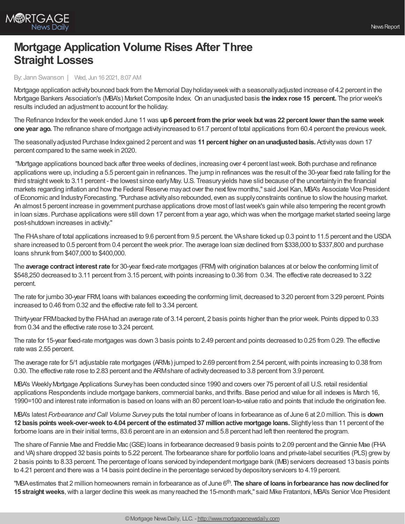

## **Mortgage Application Volume Rises After Three Straight Losses**

By: Jann Swanson | Wed, Jun 16 2021, 8:07 AM

Mortgage application activitybounced back from the Memorial Dayholidayweekwith a seasonallyadjusted increase of 4.2 percent in the Mortgage Bankers Association's (MBA's) MarketComposite Index. On an unadjusted basis **the index rose 15 percent.** The prior week's results included an adjustment to account for the holiday.

The Refinance Indexfor the week ended June 11 was **up6 percent fromthe prior week butwas 22 percent lower thanthe sameweek one year ago.** The refinance share of mortgage activityincreased to 61.7 percent of total applications from 60.4 percent the previous week.

The seasonallyadjusted Purchase Indexgained 2 percent and was **11 percent higher onanunadjustedbasis.** Activitywas down 17 percent compared to the same week in 2020.

"Mortgage applications bounced back after three weeks of declines, increasing over 4 percent lastweek. Both purchase and refinance applications were up, including a 5.5 percent gain in refinances. The jump in refinances was the result of the 30-year fixed rate falling for the third straightweek to 3.11 percent - the lowest since earlyMay.U.S. Treasuryyields have slid because of the uncertaintyin the financial markets regarding inflation and howthe Federal Reserve mayact over the next few months," said Joel Kan, MBA's Associate Vice President of Economic and Industry Forecasting. "Purchase activity also rebounded, even as supply constraints continue to slow the housing market. An almost 5 percent increase in government purchase applications drove most of lastweek's gain while also tempering the recent growth in loan sizes. Purchase applications were still down 17 percent from a year ago,which was when the mortgage market started seeing large post-shutdown increases in activity."

The FHAshare of total applications increased to 9.6 percent from 9.5 percent. the VAshare ticked up 0.3 point to 11.5 percent and the USDA share increased to 0.5 percent from 0.4 percent the week prior. The average loan size declined from \$338,000 to \$337,800 and purchase loans shrunk from \$407,000 to \$400,000.

The **average contract interestrate** for 30-year fixed-rate mortgages (FRM) with origination balances at or belowthe conforming limit of \$548,250 decreased to 3.11 percent from 3.15 percent, with points increasing to 0.36 from 0.34. The effective rate decreased to 3.22 percent.

The rate for jumbo 30-year FRM, loans with balances exceeding the conforming limit, decreased to 3.20 percent from 3.29 percent. Points increased to 0.46 from 0.32 and the effective rate fell to 3.34 percent.

Thirty-year FRMbacked bythe FHAhad an average rate of 3.14 percent, 2 basis points higher than the prior week. Points dipped to 0.33 from 0.34 and the effective rate rose to 3.24 percent.

The rate for 15-year fixed-rate mortgages was down 3 basis points to 2.49 percent and points decreased to 0.25 from 0.29. The effective rate was 2.55 percent.

The average rate for 5/1 adjustable rate mortgages (ARMs) jumped to 2.69 percent from 2.54 percent, with points increasing to 0.38 from 0.30. The effective rate rose to 2.83 percent and the ARMshare of activitydecreased to 3.8 percent from 3.9 percent.

MBA's WeeklyMortgage Applications Surveyhas been conducted since 1990 and covers over 75 percent of all U.S. retail residential applications Respondents include mortgage bankers, commercial banks, and thrifts. Base period and value for all indexes is March 16, 1990=100 and interest rate information is based on loans with an 80 percent loan-to-value ratio and points that include the origination fee.

MBA's latest *Forbearance and Call Volume Survey* puts the total number of loans in forbearance as of June 6 at 2.0 million. This is **down 12 basis pointsweek-over-week to4.04 percent of the estimated37 millionactive mortgage loans.** Slightlyless than 11 percent of the forborne loans are in their initial terms, 83.6 percent are in an extension and 5.8 percent had left then reentered the program.

The share of Fannie Mae and Freddie Mac (GSE) loans in forbearance decreased 9 basis points to 2.09 percent and theGinnie Mae (FHA and VA) share dropped 32 basis points to 5.22 percent. The forbearance share for portfolio loans and private-label securities (PLS) grewby 2 basis points to 8.33 percent. The percentage of loans serviced byindependent mortgage bank (IMB) servicers decreased 13 basis points to 4.21 percent and there was a 14 basis point decline in the percentage serviced bydepositoryservicers to 4.19 percent.

"MBA estimates that 2 million homeowners remain in forbearance as of June 6<sup>th</sup>. **The share of loans in forbearance has now declined for** 15 **straight weeks**, with a larger decline this week as many reached the 15-month mark," said Mike Fratantoni, MBA's Senior Vice President